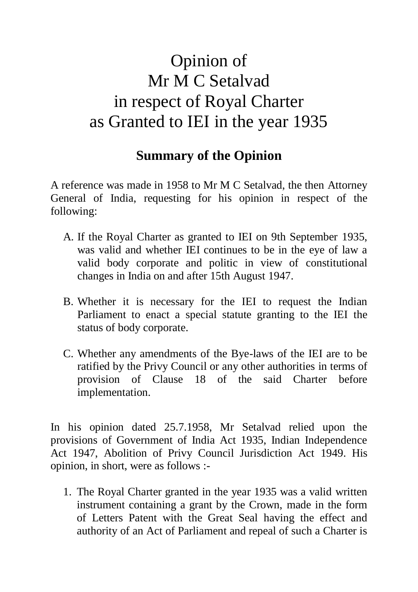## Opinion of Mr M C Setalvad in respect of Royal Charter as Granted to IEI in the year 1935

## **Summary of the Opinion**

A reference was made in 1958 to Mr M C Setalvad, the then Attorney General of India, requesting for his opinion in respect of the following:

- A. If the Royal Charter as granted to IEI on 9th September 1935, was valid and whether IEI continues to be in the eye of law a valid body corporate and politic in view of constitutional changes in India on and after 15th August 1947.
- B. Whether it is necessary for the IEI to request the Indian Parliament to enact a special statute granting to the IEI the status of body corporate.
- C. Whether any amendments of the Bye-laws of the IEI are to be ratified by the Privy Council or any other authorities in terms of provision of Clause 18 of the said Charter before implementation.

In his opinion dated 25.7.1958, Mr Setalvad relied upon the provisions of Government of India Act 1935, Indian Independence Act 1947, Abolition of Privy Council Jurisdiction Act 1949. His opinion, in short, were as follows :-

1. The Royal Charter granted in the year 1935 was a valid written instrument containing a grant by the Crown, made in the form of Letters Patent with the Great Seal having the effect and authority of an Act of Parliament and repeal of such a Charter is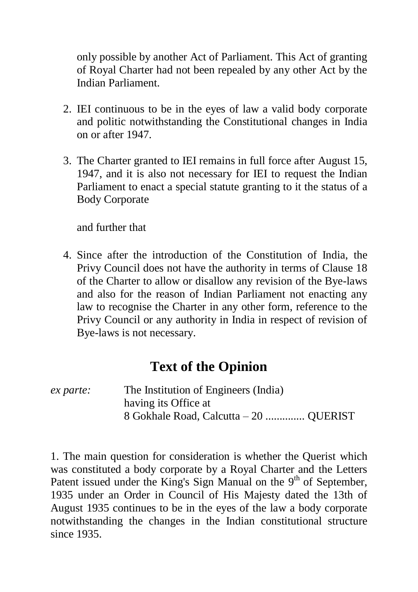only possible by another Act of Parliament. This Act of granting of Royal Charter had not been repealed by any other Act by the Indian Parliament.

- 2. IEI continuous to be in the eyes of law a valid body corporate and politic notwithstanding the Constitutional changes in India on or after 1947.
- 3. The Charter granted to IEI remains in full force after August 15, 1947, and it is also not necessary for IEI to request the Indian Parliament to enact a special statute granting to it the status of a Body Corporate

and further that

4. Since after the introduction of the Constitution of India, the Privy Council does not have the authority in terms of Clause 18 of the Charter to allow or disallow any revision of the Bye-laws and also for the reason of Indian Parliament not enacting any law to recognise the Charter in any other form, reference to the Privy Council or any authority in India in respect of revision of Bye-laws is not necessary.

## **Text of the Opinion**

## *ex parte:* The Institution of Engineers (India) having its Office at 8 Gokhale Road, Calcutta – 20 .............. QUERIST

1. The main question for consideration is whether the Querist which was constituted a body corporate by a Royal Charter and the Letters Patent issued under the King's Sign Manual on the  $9<sup>th</sup>$  of September, 1935 under an Order in Council of His Majesty dated the 13th of August 1935 continues to be in the eyes of the law a body corporate notwithstanding the changes in the Indian constitutional structure since 1935.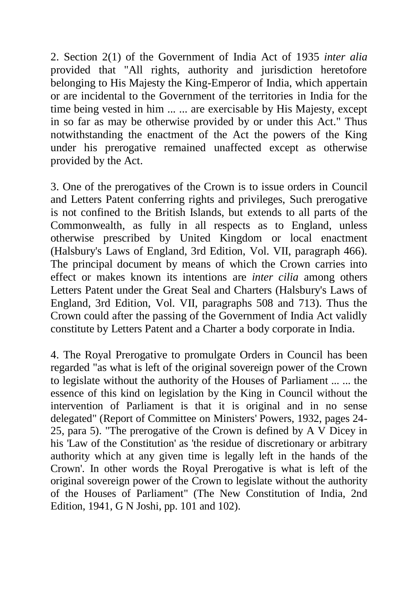2. Section 2(1) of the Government of India Act of 1935 *inter alia*  provided that "All rights, authority and jurisdiction heretofore belonging to His Majesty the King-Emperor of India, which appertain or are incidental to the Government of the territories in India for the time being vested in him ... ... are exercisable by His Majesty, except in so far as may be otherwise provided by or under this Act." Thus notwithstanding the enactment of the Act the powers of the King under his prerogative remained unaffected except as otherwise provided by the Act.

3. One of the prerogatives of the Crown is to issue orders in Council and Letters Patent conferring rights and privileges, Such prerogative is not confined to the British Islands, but extends to all parts of the Commonwealth, as fully in all respects as to England, unless otherwise prescribed by United Kingdom or local enactment (Halsbury's Laws of England, 3rd Edition, Vol. VII, paragraph 466). The principal document by means of which the Crown carries into effect or makes known its intentions are *inter cilia* among others Letters Patent under the Great Seal and Charters (Halsbury's Laws of England, 3rd Edition, Vol. VII, paragraphs 508 and 713). Thus the Crown could after the passing of the Government of India Act validly constitute by Letters Patent and a Charter a body corporate in India.

4. The Royal Prerogative to promulgate Orders in Council has been regarded "as what is left of the original sovereign power of the Crown to legislate without the authority of the Houses of Parliament ... ... the essence of this kind on legislation by the King in Council without the intervention of Parliament is that it is original and in no sense delegated" (Report of Committee on Ministers' Powers, 1932, pages 24- 25, para 5). "The prerogative of the Crown is defined by A V Dicey in his 'Law of the Constitution' as 'the residue of discretionary or arbitrary authority which at any given time is legally left in the hands of the Crown'. In other words the Royal Prerogative is what is left of the original sovereign power of the Crown to legislate without the authority of the Houses of Parliament" (The New Constitution of India, 2nd Edition, 1941, G N Joshi, pp. 101 and 102).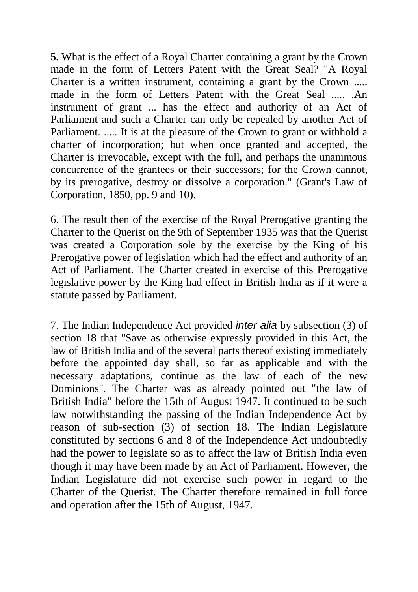**5.** What is the effect of a Royal Charter containing a grant by the Crown made in the form of Letters Patent with the Great Seal? "A Royal Charter is a written instrument, containing a grant by the Crown ..... made in the form of Letters Patent with the Great Seal ..... .An instrument of grant ... has the effect and authority of an Act of Parliament and such a Charter can only be repealed by another Act of Parliament. ..... It is at the pleasure of the Crown to grant or withhold a charter of incorporation; but when once granted and accepted, the Charter is irrevocable, except with the full, and perhaps the unanimous concurrence of the grantees or their successors; for the Crown cannot, by its prerogative, destroy or dissolve a corporation." (Grant's Law of Corporation, 1850, pp. 9 and 10).

6. The result then of the exercise of the Royal Prerogative granting the Charter to the Querist on the 9th of September 1935 was that the Querist was created a Corporation sole by the exercise by the King of his Prerogative power of legislation which had the effect and authority of an Act of Parliament. The Charter created in exercise of this Prerogative legislative power by the King had effect in British India as if it were a statute passed by Parliament.

7. The Indian Independence Act provided *inter alia* by subsection (3) of section 18 that "Save as otherwise expressly provided in this Act, the law of British India and of the several parts thereof existing immediately before the appointed day shall, so far as applicable and with the necessary adaptations, continue as the law of each of the new Dominions". The Charter was as already pointed out "the law of British India" before the 15th of August 1947. It continued to be such law notwithstanding the passing of the Indian Independence Act by reason of sub-section (3) of section 18. The Indian Legislature constituted by sections 6 and 8 of the Independence Act undoubtedly had the power to legislate so as to affect the law of British India even though it may have been made by an Act of Parliament. However, the Indian Legislature did not exercise such power in regard to the Charter of the Querist. The Charter therefore remained in full force and operation after the 15th of August, 1947.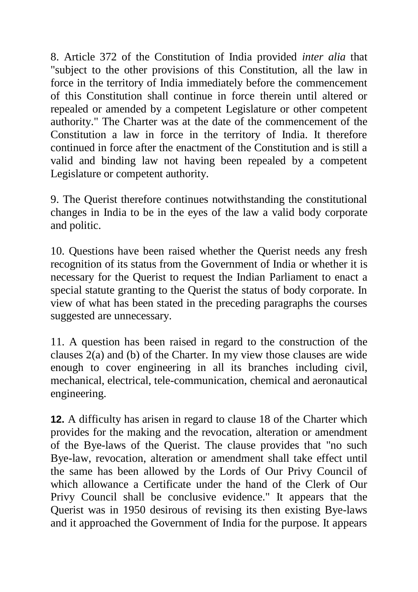8. Article 372 of the Constitution of India provided *inter alia* that "subject to the other provisions of this Constitution, all the law in force in the territory of India immediately before the commencement of this Constitution shall continue in force therein until altered or repealed or amended by a competent Legislature or other competent authority." The Charter was at the date of the commencement of the Constitution a law in force in the territory of India. It therefore continued in force after the enactment of the Constitution and is still a valid and binding law not having been repealed by a competent Legislature or competent authority.

9. The Querist therefore continues notwithstanding the constitutional changes in India to be in the eyes of the law a valid body corporate and politic.

10. Questions have been raised whether the Querist needs any fresh recognition of its status from the Government of India or whether it is necessary for the Querist to request the Indian Parliament to enact a special statute granting to the Querist the status of body corporate. In view of what has been stated in the preceding paragraphs the courses suggested are unnecessary.

11. A question has been raised in regard to the construction of the clauses 2(a) and (b) of the Charter. In my view those clauses are wide enough to cover engineering in all its branches including civil, mechanical, electrical, tele-communication, chemical and aeronautical engineering.

**12.** A difficulty has arisen in regard to clause 18 of the Charter which provides for the making and the revocation, alteration or amendment of the Bye-laws of the Querist. The clause provides that "no such Bye-law, revocation, alteration or amendment shall take effect until the same has been allowed by the Lords of Our Privy Council of which allowance a Certificate under the hand of the Clerk of Our Privy Council shall be conclusive evidence." It appears that the Querist was in 1950 desirous of revising its then existing Bye-laws and it approached the Government of India for the purpose. It appears